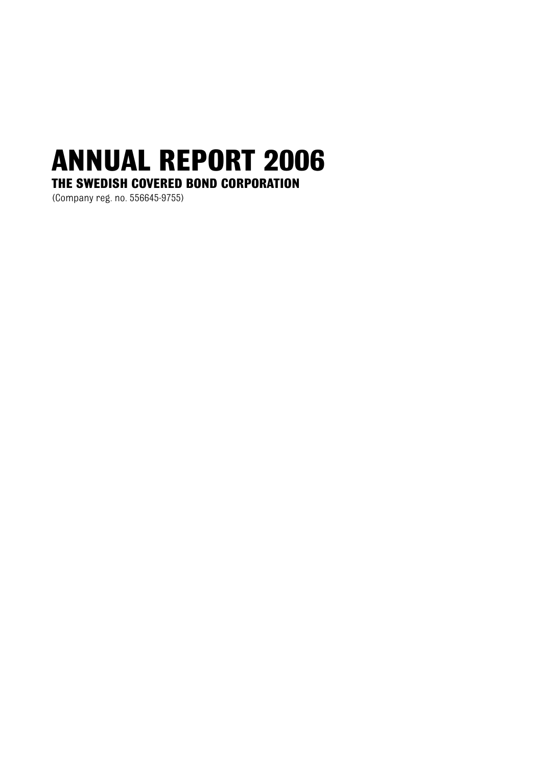# **ANNUAL REPORT 2006 THE SWEDISH COVERED BOND CORPORATION**

(Company reg. no. 556645-9755)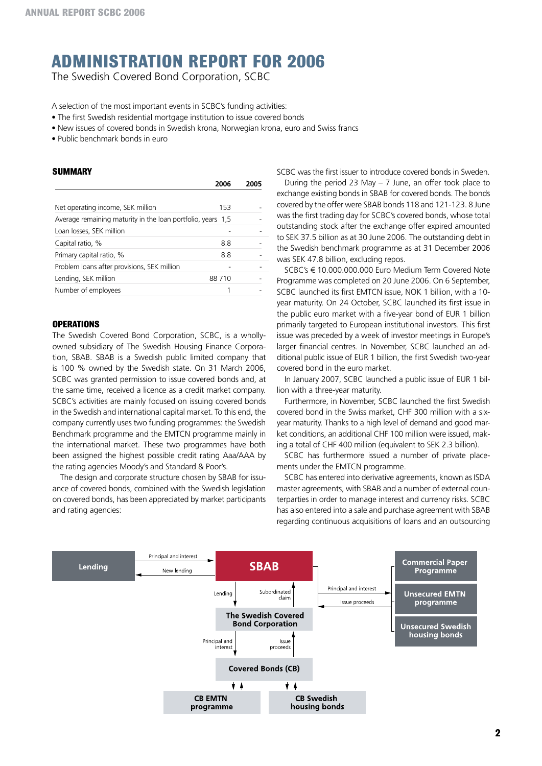# **Administration Report for 2006**

The Swedish Covered Bond Corporation, SCBC

A selection of the most important events in SCBC's funding activities:

- The first Swedish residential mortgage institution to issue covered bonds
- New issues of covered bonds in Swedish krona, Norwegian krona, euro and Swiss francs
- Public benchmark bonds in euro

#### **SUMMARY**

|                                                             | 2006  | 2005 |
|-------------------------------------------------------------|-------|------|
|                                                             |       |      |
| Net operating income, SEK million                           | 153   |      |
| Average remaining maturity in the loan portfolio, years 1,5 |       |      |
| Loan losses, SEK million                                    |       |      |
| Capital ratio, %                                            | 8.8   |      |
| Primary capital ratio, %                                    | 8.8   |      |
| Problem loans after provisions, SEK million                 |       |      |
| Lending, SEK million                                        | 88710 |      |
| Number of employees                                         |       |      |

### **Operations**

The Swedish Covered Bond Corporation, SCBC, is a whollyowned subsidiary of The Swedish Housing Finance Corporation, SBAB. SBAB is a Swedish public limited company that is 100 % owned by the Swedish state. On 31 March 2006, SCBC was granted permission to issue covered bonds and, at the same time, received a licence as a credit market company. SCBC's activities are mainly focused on issuing covered bonds in the Swedish and international capital market. To this end, the company currently uses two funding programmes: the Swedish Benchmark programme and the EMTCN programme mainly in the international market. These two programmes have both been assigned the highest possible credit rating Aaa/AAA by the rating agencies Moody's and Standard & Poor's.

The design and corporate structure chosen by SBAB for issuance of covered bonds, combined with the Swedish legislation on covered bonds, has been appreciated by market participants and rating agencies:

SCBC was the first issuer to introduce covered bonds in Sweden.

During the period 23 May – 7 June, an offer took place to exchange existing bonds in SBAB for covered bonds. The bonds covered by the offer were SBAB bonds 118 and 121-123. 8 June was the first trading day for SCBC's covered bonds, whose total outstanding stock after the exchange offer expired amounted to SEK 37.5 billion as at 30 June 2006. The outstanding debt in the Swedish benchmark programme as at 31 December 2006 was SEK 47.8 billion, excluding repos.

SCBC's € 10.000.000.000 Euro Medium Term Covered Note Programme was completed on 20 June 2006. On 6 September, SCBC launched its first EMTCN issue, NOK 1 billion, with a 10 year maturity. On 24 October, SCBC launched its first issue in the public euro market with a five-year bond of EUR 1 billion primarily targeted to European institutional investors. This first issue was preceded by a week of investor meetings in Europe's larger financial centres. In November, SCBC launched an additional public issue of EUR 1 billion, the first Swedish two-year covered bond in the euro market.

In January 2007, SCBC launched a public issue of EUR 1 billion with a three-year maturity.

Furthermore, in November, SCBC launched the first Swedish covered bond in the Swiss market, CHF 300 million with a sixyear maturity. Thanks to a high level of demand and good market conditions, an additional CHF 100 million were issued, making a total of CHF 400 million (equivalent to SEK 2.3 billion).

SCBC has furthermore issued a number of private placements under the EMTCN programme.

SCBC has entered into derivative agreements, known as ISDA master agreements, with SBAB and a number of external counterparties in order to manage interest and currency risks. SCBC has also entered into a sale and purchase agreement with SBAB regarding continuous acquisitions of loans and an outsourcing

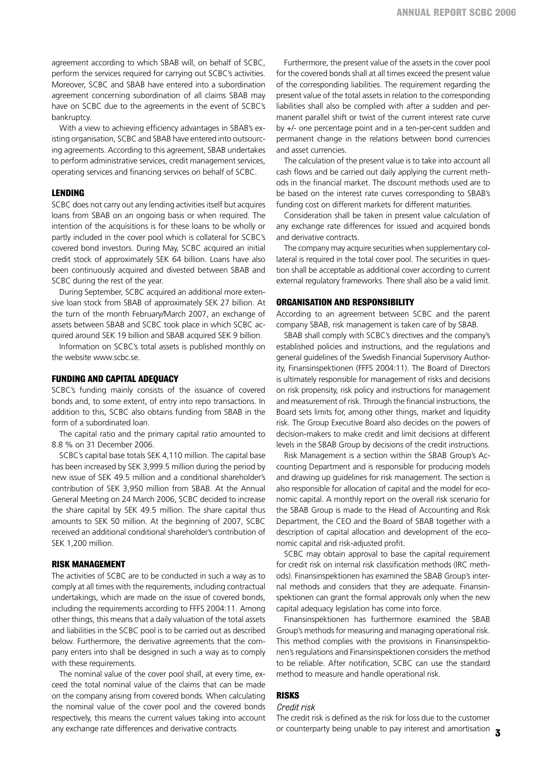agreement according to which SBAB will, on behalf of SCBC, perform the services required for carrying out SCBC's activities. Moreover, SCBC and SBAB have entered into a subordination agreement concerning subordination of all claims SBAB may have on SCBC due to the agreements in the event of SCBC's bankruptcy.

With a view to achieving efficiency advantages in SBAB's existing organisation, SCBC and SBAB have entered into outsourcing agreements. According to this agreement, SBAB undertakes to perform administrative services, credit management services, operating services and financing services on behalf of SCBC.

### **Lending**

SCBC does not carry out any lending activities itself but acquires loans from SBAB on an ongoing basis or when required. The intention of the acquisitions is for these loans to be wholly or partly included in the cover pool which is collateral for SCBC's covered bond investors. During May, SCBC acquired an initial credit stock of approximately SEK 64 billion. Loans have also been continuously acquired and divested between SBAB and SCBC during the rest of the year.

During September, SCBC acquired an additional more extensive loan stock from SBAB of approximately SEK 27 billion. At the turn of the month February/March 2007, an exchange of assets between SBAB and SCBC took place in which SCBC acquired around SEK 19 billion and SBAB acquired SEK 9 billion.

Information on SCBC's total assets is published monthly on the website www.scbc.se.

#### **Funding and capital adequacy**

SCBC's funding mainly consists of the issuance of covered bonds and, to some extent, of entry into repo transactions. In addition to this, SCBC also obtains funding from SBAB in the form of a subordinated loan.

The capital ratio and the primary capital ratio amounted to 8.8 % on 31 December 2006.

SCBC's capital base totals SEK 4,110 million. The capital base has been increased by SEK 3,999.5 million during the period by new issue of SEK 49.5 million and a conditional shareholder's contribution of SEK 3,950 million from SBAB. At the Annual General Meeting on 24 March 2006, SCBC decided to increase the share capital by SEK 49.5 million. The share capital thus amounts to SEK 50 million. At the beginning of 2007, SCBC received an additional conditional shareholder's contribution of SEK 1,200 million.

#### **Risk management**

The activities of SCBC are to be conducted in such a way as to comply at all times with the requirements, including contractual undertakings, which are made on the issue of covered bonds, including the requirements according to FFFS 2004:11. Among other things, this means that a daily valuation of the total assets and liabilities in the SCBC pool is to be carried out as described below. Furthermore, the derivative agreements that the company enters into shall be designed in such a way as to comply with these requirements.

The nominal value of the cover pool shall, at every time, exceed the total nominal value of the claims that can be made on the company arising from covered bonds. When calculating the nominal value of the cover pool and the covered bonds respectively, this means the current values taking into account any exchange rate differences and derivative contracts.

Furthermore, the present value of the assets in the cover pool for the covered bonds shall at all times exceed the present value of the corresponding liabilities. The requirement regarding the present value of the total assets in relation to the corresponding liabilities shall also be complied with after a sudden and permanent parallel shift or twist of the current interest rate curve by +/- one percentage point and in a ten-per-cent sudden and permanent change in the relations between bond currencies and asset currencies.

The calculation of the present value is to take into account all cash flows and be carried out daily applying the current methods in the financial market. The discount methods used are to be based on the interest rate curves corresponding to SBAB's funding cost on different markets for different maturities.

Consideration shall be taken in present value calculation of any exchange rate differences for issued and acquired bonds and derivative contracts.

The company may acquire securities when supplementary collateral is required in the total cover pool. The securities in question shall be acceptable as additional cover according to current external regulatory frameworks. There shall also be a valid limit.

#### **Organisation and responsibility**

According to an agreement between SCBC and the parent company SBAB, risk management is taken care of by SBAB.

SBAB shall comply with SCBC's directives and the company's established policies and instructions, and the regulations and general guidelines of the Swedish Financial Supervisory Authority, Finansinspektionen (FFFS 2004:11). The Board of Directors is ultimately responsible for management of risks and decisions on risk propensity, risk policy and instructions for management and measurement of risk. Through the financial instructions, the Board sets limits for, among other things, market and liquidity risk. The Group Executive Board also decides on the powers of decision-makers to make credit and limit decisions at different levels in the SBAB Group by decisions of the credit instructions.

Risk Management is a section within the SBAB Group's Accounting Department and is responsible for producing models and drawing up guidelines for risk management. The section is also responsible for allocation of capital and the model for economic capital. A monthly report on the overall risk scenario for the SBAB Group is made to the Head of Accounting and Risk Department, the CEO and the Board of SBAB together with a description of capital allocation and development of the economic capital and risk-adjusted profit.

SCBC may obtain approval to base the capital requirement for credit risk on internal risk classification methods (IRC methods). Finansinspektionen has examined the SBAB Group's internal methods and considers that they are adequate. Finansinspektionen can grant the formal approvals only when the new capital adequacy legislation has come into force.

Finansinspektionen has furthermore examined the SBAB Group's methods for measuring and managing operational risk. This method complies with the provisions in Finansinspektionen's regulations and Finansinspektionen considers the method to be reliable. After notification, SCBC can use the standard method to measure and handle operational risk.

## **Risks**

#### *Credit risk*

or counterparty being unable to pay interest and amortisation  $\,$  3 The credit risk is defined as the risk for loss due to the customer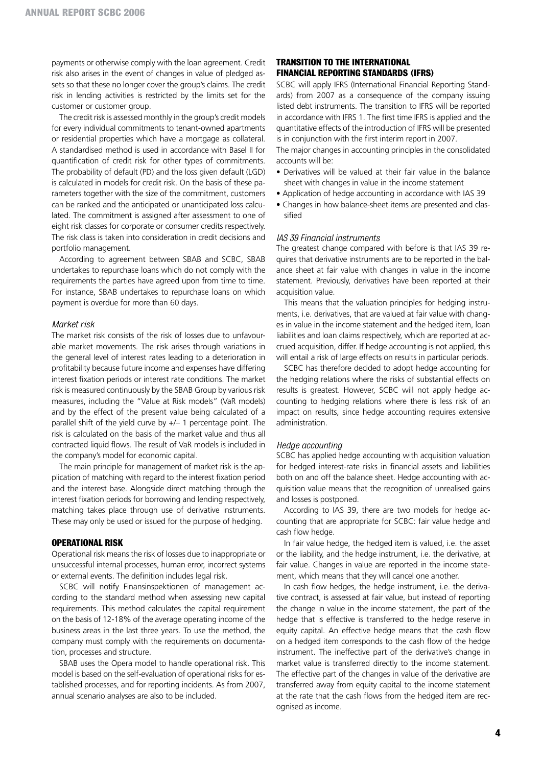payments or otherwise comply with the loan agreement. Credit risk also arises in the event of changes in value of pledged assets so that these no longer cover the group's claims. The credit risk in lending activities is restricted by the limits set for the customer or customer group.

The credit risk is assessed monthly in the group's credit models for every individual commitments to tenant-owned apartments or residential properties which have a mortgage as collateral. A standardised method is used in accordance with Basel II for quantification of credit risk for other types of commitments. The probability of default (PD) and the loss given default (LGD) is calculated in models for credit risk. On the basis of these parameters together with the size of the commitment, customers can be ranked and the anticipated or unanticipated loss calculated. The commitment is assigned after assessment to one of eight risk classes for corporate or consumer credits respectively. The risk class is taken into consideration in credit decisions and portfolio management.

According to agreement between SBAB and SCBC, SBAB undertakes to repurchase loans which do not comply with the requirements the parties have agreed upon from time to time. For instance, SBAB undertakes to repurchase loans on which payment is overdue for more than 60 days.

#### *Market risk*

The market risk consists of the risk of losses due to unfavourable market movements. The risk arises through variations in the general level of interest rates leading to a deterioration in profitability because future income and expenses have differing interest fixation periods or interest rate conditions. The market risk is measured continuously by the SBAB Group by various risk measures, including the "Value at Risk models" (VaR models) and by the effect of the present value being calculated of a parallel shift of the yield curve by +/– 1 percentage point. The risk is calculated on the basis of the market value and thus all contracted liquid flows. The result of VaR models is included in the company's model for economic capital.

The main principle for management of market risk is the application of matching with regard to the interest fixation period and the interest base. Alongside direct matching through the interest fixation periods for borrowing and lending respectively, matching takes place through use of derivative instruments. These may only be used or issued for the purpose of hedging.

### **Operational risk**

Operational risk means the risk of losses due to inappropriate or unsuccessful internal processes, human error, incorrect systems or external events. The definition includes legal risk.

SCBC will notify Finansinspektionen of management according to the standard method when assessing new capital requirements. This method calculates the capital requirement on the basis of 12-18% of the average operating income of the business areas in the last three years. To use the method, the company must comply with the requirements on documentation, processes and structure.

SBAB uses the Opera model to handle operational risk. This model is based on the self-evaluation of operational risks for established processes, and for reporting incidents. As from 2007, annual scenario analyses are also to be included.

### **Transition to the International Financial Reporting Standards (IFRS)**

SCBC will apply IFRS (International Financial Reporting Standards) from 2007 as a consequence of the company issuing listed debt instruments. The transition to IFRS will be reported in accordance with IFRS 1. The first time IFRS is applied and the quantitative effects of the introduction of IFRS will be presented is in conjunction with the first interim report in 2007.

The major changes in accounting principles in the consolidated accounts will be:

- Derivatives will be valued at their fair value in the balance sheet with changes in value in the income statement
- Application of hedge accounting in accordance with IAS 39
- Changes in how balance-sheet items are presented and classified

#### *IAS 39 Financial instruments*

The greatest change compared with before is that IAS 39 requires that derivative instruments are to be reported in the balance sheet at fair value with changes in value in the income statement. Previously, derivatives have been reported at their acquisition value.

This means that the valuation principles for hedging instruments, i.e. derivatives, that are valued at fair value with changes in value in the income statement and the hedged item, loan liabilities and loan claims respectively, which are reported at accrued acquisition, differ. If hedge accounting is not applied, this will entail a risk of large effects on results in particular periods.

SCBC has therefore decided to adopt hedge accounting for the hedging relations where the risks of substantial effects on results is greatest. However, SCBC will not apply hedge accounting to hedging relations where there is less risk of an impact on results, since hedge accounting requires extensive administration.

#### *Hedge accounting*

SCBC has applied hedge accounting with acquisition valuation for hedged interest-rate risks in financial assets and liabilities both on and off the balance sheet. Hedge accounting with acquisition value means that the recognition of unrealised gains and losses is postponed.

According to IAS 39, there are two models for hedge accounting that are appropriate for SCBC: fair value hedge and cash flow hedge.

In fair value hedge, the hedged item is valued, i.e. the asset or the liability, and the hedge instrument, i.e. the derivative, at fair value. Changes in value are reported in the income statement, which means that they will cancel one another.

In cash flow hedges, the hedge instrument, i.e. the derivative contract, is assessed at fair value, but instead of reporting the change in value in the income statement, the part of the hedge that is effective is transferred to the hedge reserve in equity capital. An effective hedge means that the cash flow on a hedged item corresponds to the cash flow of the hedge instrument. The ineffective part of the derivative's change in market value is transferred directly to the income statement. The effective part of the changes in value of the derivative are transferred away from equity capital to the income statement at the rate that the cash flows from the hedged item are recognised as income.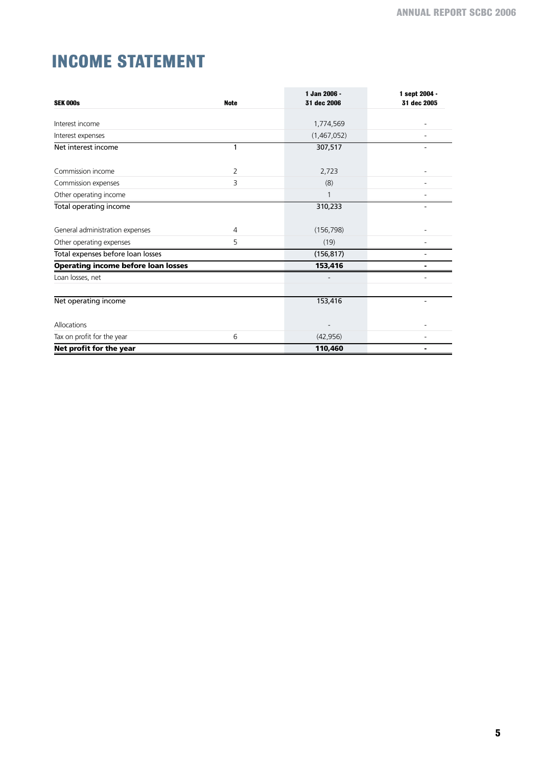# **INCOME STATEMENT**

| <b>SEK 000s</b>                            | <b>Note</b> | 1 Jan 2006 -<br>31 dec 2006 | 1 sept 2004 -<br>31 dec 2005 |
|--------------------------------------------|-------------|-----------------------------|------------------------------|
|                                            |             |                             |                              |
| Interest income                            |             | 1,774,569                   |                              |
| Interest expenses                          |             | (1,467,052)                 |                              |
| Net interest income                        | 1           | 307,517                     |                              |
| Commission income                          | 2           | 2,723                       |                              |
| Commission expenses                        | 3           | (8)                         |                              |
| Other operating income                     |             |                             |                              |
| Total operating income                     |             | 310,233                     |                              |
| General administration expenses            | 4           | (156, 798)                  |                              |
| Other operating expenses                   | 5           | (19)                        |                              |
| Total expenses before loan losses          |             | (156, 817)                  |                              |
| <b>Operating income before loan losses</b> |             | 153,416                     |                              |
| Loan losses, net                           |             |                             |                              |
|                                            |             |                             |                              |
| Net operating income                       |             | 153,416                     |                              |
| Allocations                                |             |                             |                              |
| Tax on profit for the year                 | 6           | (42, 956)                   |                              |
| Net profit for the year                    |             | 110,460                     |                              |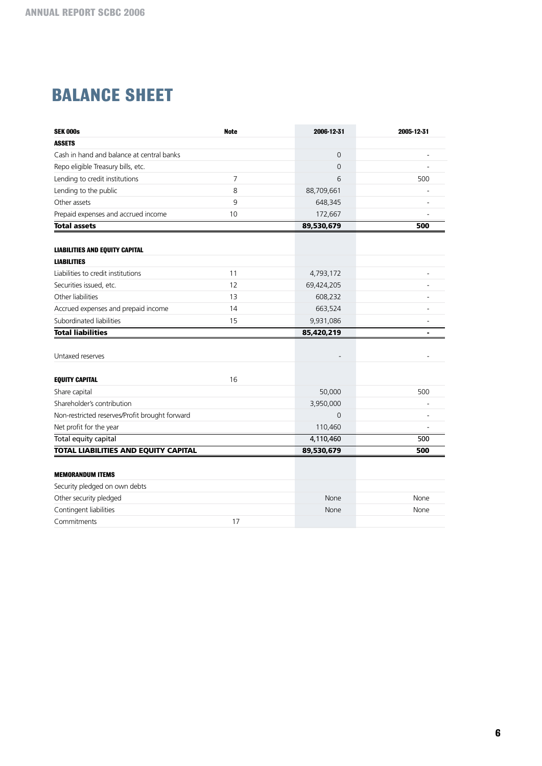# **BALANCE SHEET**

| <b>SEK 000s</b>                                | <b>Note</b>    | 2006-12-31 | 2005-12-31 |
|------------------------------------------------|----------------|------------|------------|
| <b>ASSETS</b>                                  |                |            |            |
| Cash in hand and balance at central banks      |                | 0          |            |
| Repo eligible Treasury bills, etc.             |                | $\Omega$   |            |
| Lending to credit institutions                 | $\overline{7}$ | 6          | 500        |
| Lending to the public                          | 8              | 88,709,661 |            |
| Other assets                                   | 9              | 648,345    |            |
| Prepaid expenses and accrued income            | 10             | 172,667    |            |
| <b>Total assets</b>                            |                | 89,530,679 | 500        |
|                                                |                |            |            |
| <b>LIABILITIES AND EQUITY CAPITAL</b>          |                |            |            |
| <b>LIABILITIES</b>                             |                |            |            |
| Liabilities to credit institutions             | 11             | 4,793,172  |            |
| Securities issued, etc.                        | 12             | 69,424,205 |            |
| Other liabilities                              | 13             | 608,232    |            |
| Accrued expenses and prepaid income            | 14             | 663,524    |            |
| Subordinated liabilities                       | 15             | 9,931,086  |            |
| <b>Total liabilities</b>                       |                | 85,420,219 |            |
|                                                |                |            |            |
| Untaxed reserves                               |                |            |            |
|                                                |                |            |            |
| <b>EQUITY CAPITAL</b>                          | 16             |            |            |
| Share capital                                  |                | 50,000     | 500        |
| Shareholder's contribution                     |                | 3,950,000  |            |
| Non-restricted reserves/Profit brought forward |                | 0          |            |
| Net profit for the year                        |                | 110,460    |            |
| Total equity capital                           |                | 4,110,460  | 500        |
| <b>TOTAL LIABILITIES AND EQUITY CAPITAL</b>    |                | 89,530,679 | 500        |
|                                                |                |            |            |
| <b>MEMORANDUM ITEMS</b>                        |                |            |            |
| Security pledged on own debts                  |                |            |            |
| Other security pledged                         |                | None       | None       |
| Contingent liabilities                         |                | None       | None       |
| Commitments                                    | 17             |            |            |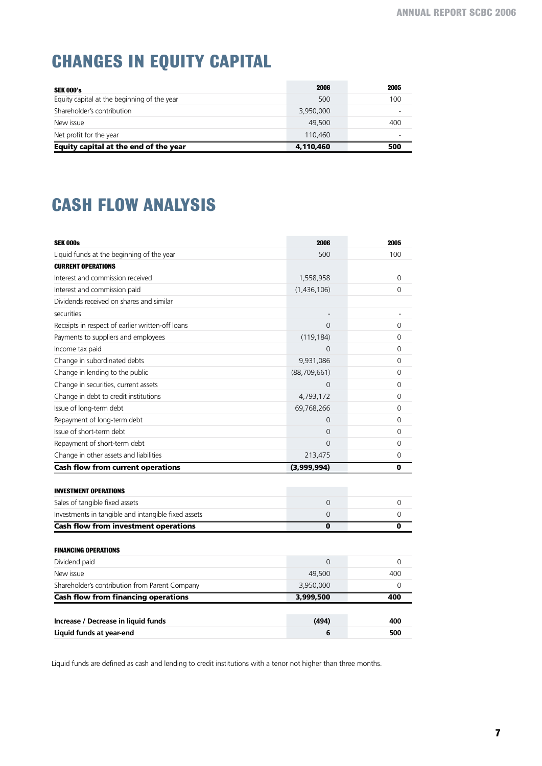# **CHANGES IN EQUITY CAPITAL**

| <b>SEK 000's</b>                            | 2006      | 2005 |
|---------------------------------------------|-----------|------|
| Equity capital at the beginning of the year | 500       | 100  |
| Shareholder's contribution                  | 3,950,000 | -    |
| New issue                                   | 49,500    | 400  |
| Net profit for the year                     | 110,460   |      |
| Equity capital at the end of the year       | 4,110,460 | 500  |

# **CASH FLOW ANALYSIS**

| <b>SEK 000s</b>                                     | 2006           | 2005           |
|-----------------------------------------------------|----------------|----------------|
| Liquid funds at the beginning of the year           | 500            | 100            |
| <b>CURRENT OPERATIONS</b>                           |                |                |
| Interest and commission received                    | 1,558,958      | 0              |
| Interest and commission paid                        | (1,436,106)    | 0              |
| Dividends received on shares and similar            |                |                |
| securities                                          |                |                |
| Receipts in respect of earlier written-off loans    | $\Omega$       | 0              |
| Payments to suppliers and employees                 | (119, 184)     | 0              |
| Income tax paid                                     | $\Omega$       | 0              |
| Change in subordinated debts                        | 9,931,086      | 0              |
| Change in lending to the public                     | (88, 709, 661) | 0              |
| Change in securities, current assets                | $\Omega$       | $\Omega$       |
| Change in debt to credit institutions               | 4,793,172      | 0              |
| Issue of long-term debt                             | 69,768,266     | 0              |
| Repayment of long-term debt                         | $\Omega$       | 0              |
| Issue of short-term debt                            | 0              | 0              |
| Repayment of short-term debt                        | $\Omega$       | $\Omega$       |
| Change in other assets and liabilities              | 213,475        | $\overline{0}$ |
| <b>Cash flow from current operations</b>            | (3,999,994)    | 0              |
| <b>INVESTMENT OPERATIONS</b>                        |                |                |
| Sales of tangible fixed assets                      | $\overline{0}$ | $\mathbf 0$    |
| Investments in tangible and intangible fixed assets | 0              | 0              |
| <b>Cash flow from investment operations</b>         | 0              | 0              |
|                                                     |                |                |
| <b>FINANCING OPERATIONS</b>                         |                |                |
| Dividend paid                                       | $\Omega$       | $\Omega$       |
| New issue                                           | 49,500         | 400            |
| Shareholder's contribution from Parent Company      | 3,950,000      | 0              |
| <b>Cash flow from financing operations</b>          | 3,999,500      | 400            |
|                                                     |                |                |
| Increase / Decrease in liquid funds                 | (494)          | 400            |
| Liquid funds at year-end                            | 6              | 500            |

Liquid funds are defined as cash and lending to credit institutions with a tenor not higher than three months.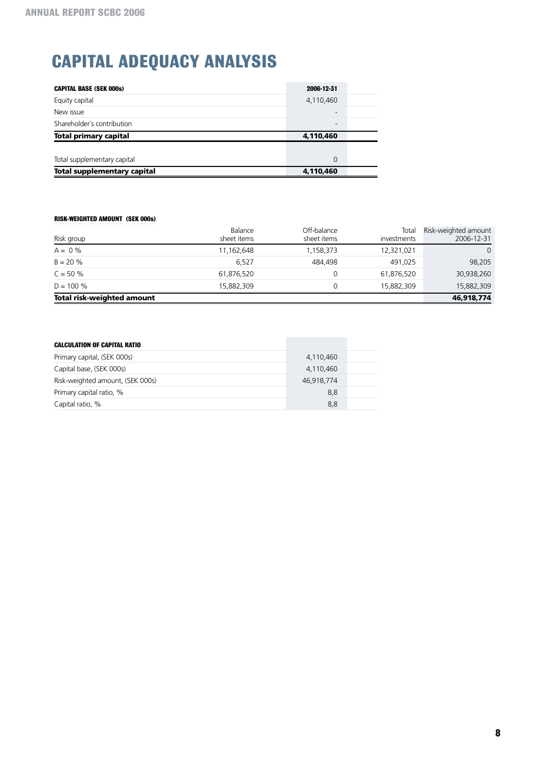# **capital adequacy analysis**

| <b>CAPITAL BASE (SEK 000s)</b> | 2006-12-31               |  |
|--------------------------------|--------------------------|--|
| Equity capital                 | 4,110,460                |  |
| New issue                      | $\overline{\phantom{a}}$ |  |
| Shareholder's contribution     | $\overline{\phantom{0}}$ |  |
|                                |                          |  |
| <b>Total primary capital</b>   | 4,110,460                |  |
|                                |                          |  |
| Total supplementary capital    | 0                        |  |

### **RISK-WEIGHTED AMOUNT (SEK 000s)**

|                            | Balance     | Off-balance | Total       | Risk-weighted amount |
|----------------------------|-------------|-------------|-------------|----------------------|
| Risk group                 | sheet items | sheet items | investments | 2006-12-31           |
| $A = 0\%$                  | 11,162,648  | 1,158,373   | 12,321,021  | $\Omega$             |
| $B = 20 \%$                | 6.527       | 484.498     | 491,025     | 98,205               |
| $C = 50 \%$                | 61,876,520  | 0           | 61,876,520  | 30,938,260           |
| $D = 100 %$                | 15,882,309  | 0           | 15,882,309  | 15,882,309           |
| Total risk-weighted amount |             |             |             | 46,918,774           |

| <b>CALCULATION OF CAPITAL RATIO</b> |            |  |
|-------------------------------------|------------|--|
| Primary capital, (SEK 000s)         | 4,110,460  |  |
| Capital base, (SEK 000s)            | 4,110,460  |  |
| Risk-weighted amount, (SEK 000s)    | 46,918,774 |  |
| Primary capital ratio, %            | 8,8        |  |
| Capital ratio, %                    | 8,8        |  |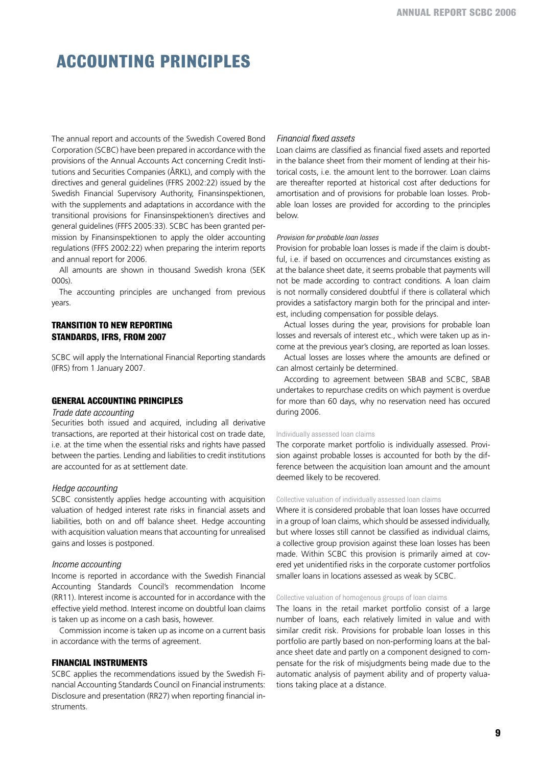# **Accounting Principles**

The annual report and accounts of the Swedish Covered Bond Corporation (SCBC) have been prepared in accordance with the provisions of the Annual Accounts Act concerning Credit Institutions and Securities Companies (ÅRKL), and comply with the directives and general guidelines (FFRS 2002:22) issued by the Swedish Financial Supervisory Authority, Finansinspektionen, with the supplements and adaptations in accordance with the transitional provisions for Finansinspektionen's directives and general guidelines (FFFS 2005:33). SCBC has been granted permission by Finansinspektionen to apply the older accounting regulations (FFFS 2002:22) when preparing the interim reports and annual report for 2006.

All amounts are shown in thousand Swedish krona (SEK 000s).

The accounting principles are unchanged from previous years.

## **Transition to new reporting standards, IFRS, from 2007**

SCBC will apply the International Financial Reporting standards (IFRS) from 1 January 2007.

### **General accounting principles**

### *Trade date accounting*

Securities both issued and acquired, including all derivative transactions, are reported at their historical cost on trade date, i.e. at the time when the essential risks and rights have passed between the parties. Lending and liabilities to credit institutions are accounted for as at settlement date.

#### *Hedge accounting*

SCBC consistently applies hedge accounting with acquisition valuation of hedged interest rate risks in financial assets and liabilities, both on and off balance sheet. Hedge accounting with acquisition valuation means that accounting for unrealised gains and losses is postponed.

### *Income accounting*

Income is reported in accordance with the Swedish Financial Accounting Standards Council's recommendation Income (RR11). Interest income is accounted for in accordance with the effective yield method. Interest income on doubtful loan claims is taken up as income on a cash basis, however.

Commission income is taken up as income on a current basis in accordance with the terms of agreement.

### **Financial instruments**

SCBC applies the recommendations issued by the Swedish Financial Accounting Standards Council on Financial instruments: Disclosure and presentation (RR27) when reporting financial instruments.

### *Financial fixed assets*

Loan claims are classified as financial fixed assets and reported in the balance sheet from their moment of lending at their historical costs, i.e. the amount lent to the borrower. Loan claims are thereafter reported at historical cost after deductions for amortisation and of provisions for probable loan losses. Probable loan losses are provided for according to the principles below.

#### *Provision for probable loan losses*

Provision for probable loan losses is made if the claim is doubtful, i.e. if based on occurrences and circumstances existing as at the balance sheet date, it seems probable that payments will not be made according to contract conditions. A loan claim is not normally considered doubtful if there is collateral which provides a satisfactory margin both for the principal and interest, including compensation for possible delays.

Actual losses during the year, provisions for probable loan losses and reversals of interest etc., which were taken up as income at the previous year's closing, are reported as loan losses.

Actual losses are losses where the amounts are defined or can almost certainly be determined.

According to agreement between SBAB and SCBC, SBAB undertakes to repurchase credits on which payment is overdue for more than 60 days, why no reservation need has occured during 2006.

#### Individually assessed loan claims

The corporate market portfolio is individually assessed. Provision against probable losses is accounted for both by the difference between the acquisition loan amount and the amount deemed likely to be recovered.

#### Collective valuation of individually assessed loan claims

Where it is considered probable that loan losses have occurred in a group of loan claims, which should be assessed individually, but where losses still cannot be classified as individual claims, a collective group provision against these loan losses has been made. Within SCBC this provision is primarily aimed at covered yet unidentified risks in the corporate customer portfolios smaller loans in locations assessed as weak by SCBC.

#### Collective valuation of homogenous groups of loan claims

The loans in the retail market portfolio consist of a large number of loans, each relatively limited in value and with similar credit risk. Provisions for probable loan losses in this portfolio are partly based on non-performing loans at the balance sheet date and partly on a component designed to compensate for the risk of misjudgments being made due to the automatic analysis of payment ability and of property valuations taking place at a distance.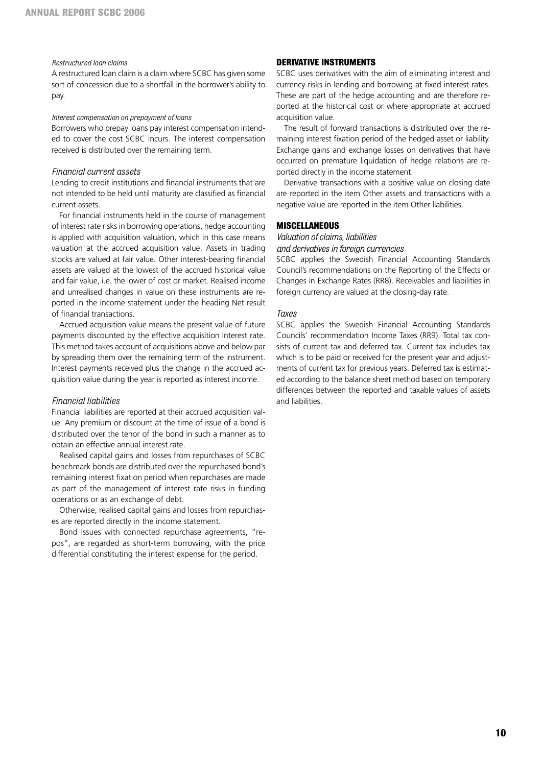#### *Restructured loan claims*

A restructured loan claim is a claim where SCBC has given some sort of concession due to a shortfall in the borrower's ability to pay.

#### *Interest compensation on prepayment of loans*

Borrowers who prepay loans pay interest compensation intended to cover the cost SCBC incurs. The interest compensation received is distributed over the remaining term.

### *Financial current assets*

Lending to credit institutions and financial instruments that are not intended to be held until maturity are classified as financial current assets.

For financial instruments held in the course of management of interest rate risks in borrowing operations, hedge accounting is applied with acquisition valuation, which in this case means valuation at the accrued acquisition value. Assets in trading stocks are valued at fair value. Other interest-bearing financial assets are valued at the lowest of the accrued historical value and fair value, i.e. the lower of cost or market. Realised income and unrealised changes in value on these instruments are reported in the income statement under the heading Net result of financial transactions.

Accrued acquisition value means the present value of future payments discounted by the effective acquisition interest rate. This method takes account of acquisitions above and below par by spreading them over the remaining term of the instrument. Interest payments received plus the change in the accrued acquisition value during the year is reported as interest income.

#### *Financial liabilities*

Financial liabilities are reported at their accrued acquisition value. Any premium or discount at the time of issue of a bond is distributed over the tenor of the bond in such a manner as to obtain an effective annual interest rate.

Realised capital gains and losses from repurchases of SCBC benchmark bonds are distributed over the repurchased bond's remaining interest fixation period when repurchases are made as part of the management of interest rate risks in funding operations or as an exchange of debt.

Otherwise, realised capital gains and losses from repurchases are reported directly in the income statement.

Bond issues with connected repurchase agreements, "repos", are regarded as short-term borrowing, with the price differential constituting the interest expense for the period.

### **Derivative instruments**

SCBC uses derivatives with the aim of eliminating interest and currency risks in lending and borrowing at fixed interest rates. These are part of the hedge accounting and are therefore reported at the historical cost or where appropriate at accrued acquisition value.

The result of forward transactions is distributed over the remaining interest fixation period of the hedged asset or liability. Exchange gains and exchange losses on derivatives that have occurred on premature liquidation of hedge relations are reported directly in the income statement.

Derivative transactions with a positive value on closing date are reported in the item Other assets and transactions with a negative value are reported in the item Other liabilities.

## **Miscellaneous**

# *Valuation of claims, liabilities*

*and derivatives in foreign currencies* 

SCBC applies the Swedish Financial Accounting Standards Council's recommendations on the Reporting of the Effects or Changes in Exchange Rates (RR8). Receivables and liabilities in foreign currency are valued at the closing-day rate.

#### *Taxes*

SCBC applies the Swedish Financial Accounting Standards Councils' recommendation Income Taxes (RR9). Total tax consists of current tax and deferred tax. Current tax includes tax which is to be paid or received for the present year and adjustments of current tax for previous years. Deferred tax is estimated according to the balance sheet method based on temporary differences between the reported and taxable values of assets and liabilities.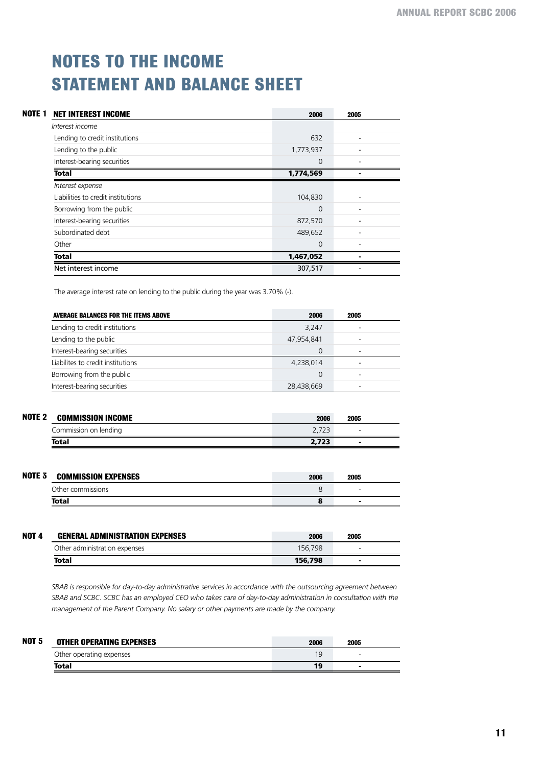# **noteS TO THE INCOME STATEMENT AND BALANCE SHEET**

| NOTE <sub>1</sub> | <b>NET INTEREST INCOME</b>         | 2006      | 2005 |
|-------------------|------------------------------------|-----------|------|
|                   | Interest income                    |           |      |
|                   | Lending to credit institutions     | 632       | ۰    |
|                   | Lending to the public              | 1,773,937 |      |
|                   | Interest-bearing securities        | $\Omega$  | ۰    |
|                   | <b>Total</b>                       | 1,774,569 |      |
|                   | Interest expense                   |           |      |
|                   | Liabilities to credit institutions | 104,830   | ۰    |
|                   | Borrowing from the public          | $\Omega$  | ۰    |
|                   | Interest-bearing securities        | 872,570   |      |
|                   | Subordinated debt                  | 489,652   | ۰    |
|                   | Other                              | 0         |      |
|                   | <b>Total</b>                       | 1,467,052 |      |
|                   | Net interest income                | 307,517   |      |

The average interest rate on lending to the public during the year was 3.70% (-).

| <b>AVERAGE BALANCES FOR THE ITEMS ABOVE</b> | 2006       | 2005 |  |
|---------------------------------------------|------------|------|--|
| Lending to credit institutions              | 3.247      |      |  |
| Lending to the public                       | 47,954,841 |      |  |
| Interest-bearing securities                 | 0          |      |  |
| Liabilites to credit institutions           | 4,238,014  |      |  |
| Borrowing from the public                   | 0          |      |  |
| Interest-bearing securities                 | 28,438,669 |      |  |

| NOTE <sub>2</sub> | <b>COMMISSION INCOME</b> | 2006  | 2005                     |  |
|-------------------|--------------------------|-------|--------------------------|--|
|                   | Commission on lending    |       | $\overline{\phantom{0}}$ |  |
|                   | <b>Total</b>             | 2.723 | $\overline{\phantom{a}}$ |  |

| NOTE <sub>3</sub> | <b>COMMISSION EXPENSES</b> | 2006 | 2005 |  |
|-------------------|----------------------------|------|------|--|
|                   | Other commissions          |      | -    |  |
|                   | Total                      |      |      |  |

| <b>NOT 4</b> | <b>GENERAL ADMINISTRATION EXPENSES</b> | 2006    | 2005 |  |
|--------------|----------------------------------------|---------|------|--|
|              | Other administration expenses          | 156.798 | -    |  |
|              | Total                                  | 156,798 |      |  |

*SBAB is responsible for day-to-day administrative services in accordance with the outsourcing agreement between SBAB and SCBC. SCBC has an employed CEO who takes care of day-to-day administration in consultation with the management of the Parent Company. No salary or other payments are made by the company.*

| <b>NOT 5</b> | <b>OTHER OPERATING EXPENSES</b> | 2006 | 2005 |  |
|--------------|---------------------------------|------|------|--|
|              | Other operating expenses        | 19   | -    |  |
|              | Total                           | 19   |      |  |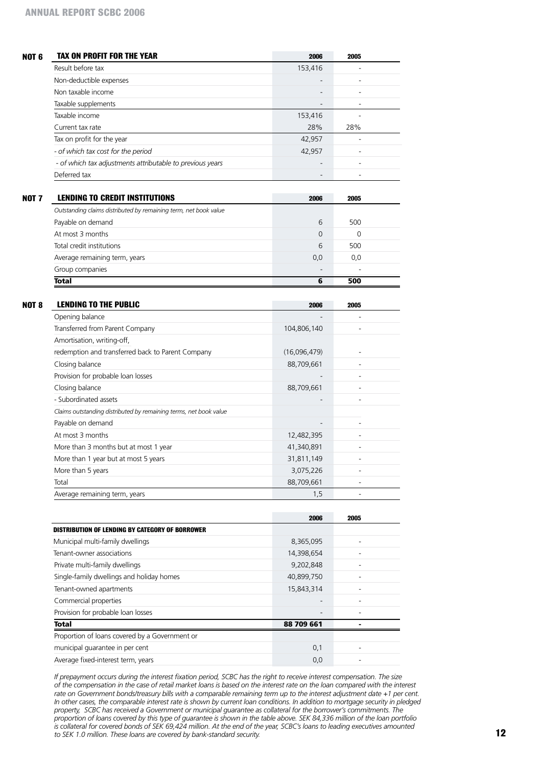| <b>TAX ON PROFIT FOR THE YEAR</b>                                 | 2006                     | 2005                     |
|-------------------------------------------------------------------|--------------------------|--------------------------|
| Result before tax                                                 | 153,416                  |                          |
| Non-deductible expenses                                           |                          | ٠                        |
| Non taxable income                                                |                          |                          |
| Taxable supplements                                               | $\overline{\phantom{a}}$ | $\overline{\phantom{a}}$ |
| Taxable income                                                    | 153,416                  |                          |
| Current tax rate                                                  | 28%                      | 28%                      |
| Tax on profit for the year                                        | 42,957                   |                          |
| - of which tax cost for the period                                | 42,957                   |                          |
| - of which tax adjustments attributable to previous years         |                          | ÷                        |
| Deferred tax                                                      |                          | $\overline{\phantom{a}}$ |
| <b>LENDING TO CREDIT INSTITUTIONS</b>                             | 2006                     | 2005                     |
| Outstanding claims distributed by remaining term, net book value  |                          |                          |
| Payable on demand                                                 | 6                        | 500                      |
| At most 3 months                                                  | $\mathbf{0}$             | 0                        |
| Total credit institutions                                         | 6                        | 500                      |
| Average remaining term, years                                     | 0,0                      | 0,0                      |
| Group companies                                                   |                          |                          |
| <b>Total</b>                                                      | 6                        | 500                      |
|                                                                   |                          |                          |
| <b>LENDING TO THE PUBLIC</b>                                      | 2006                     | 2005                     |
| Opening balance                                                   |                          |                          |
| Transferred from Parent Company                                   | 104,806,140              |                          |
| Amortisation, writing-off,                                        |                          |                          |
| redemption and transferred back to Parent Company                 | (16,096,479)             |                          |
| Closing balance                                                   | 88,709,661               | ÷                        |
| Provision for probable loan losses                                |                          | ÷                        |
| Closing balance                                                   | 88,709,661               | $\overline{\phantom{a}}$ |
| - Subordinated assets                                             |                          | $\overline{\phantom{a}}$ |
| Claims outstanding distributed by remaining terms, net book value |                          |                          |
| Payable on demand                                                 |                          |                          |
| At most 3 months                                                  | 12,482,395               |                          |
| More than 3 months but at most 1 year                             | 41,340,891               |                          |
| More than 1 year but at most 5 years                              | 31,811,149               | $\overline{\phantom{a}}$ |
| More than 5 years                                                 | 3,075,226                | $\overline{\phantom{a}}$ |
| Total                                                             | 88,709,661               |                          |
| Average remaining term, years                                     | 1,5                      |                          |
|                                                                   |                          |                          |
|                                                                   | 2006                     | 2005                     |
| <b>DISTRIBUTION OF LENDING BY CATEGORY OF BORROWER</b>            |                          |                          |
| Municipal multi-family dwellings                                  | 8,365,095                |                          |
| Tenant-owner associations                                         | 14,398,654               |                          |
| Private multi-family dwellings                                    | 9,202,848                | $\overline{\phantom{a}}$ |
| Single-family dwellings and holiday homes                         | 40,899,750               | $\overline{\phantom{a}}$ |
| Tenant-owned apartments                                           | 15,843,314               | $\overline{\phantom{a}}$ |
| Commercial properties                                             |                          | $\overline{\phantom{a}}$ |
| Provision for probable loan losses                                |                          | $\overline{a}$           |
| <b>Total</b>                                                      | 88 709 661               | ÷                        |
| Proportion of loans covered by a Government or                    |                          |                          |
| municipal guarantee in per cent                                   | 0,1                      | $\overline{\phantom{a}}$ |
| Average fixed-interest term, years                                | 0,0                      | $\overline{\phantom{a}}$ |

*If prepayment occurs during the interest fixation period, SCBC has the right to receive interest compensation. The size of the compensation in the case of retail market loans is based on the interest rate on the loan compared with the interest rate on Government bonds/treasury bills with a comparable remaining term up to the interest adjustment date +1 per cent. In other cases, the comparable interest rate is shown by current loan conditions. In addition to mortgage security in pledged property, SCBC has received a Government or municipal guarantee as collateral for the borrower's commitments. The proportion of loans covered by this type of guarantee is shown in the table above. SEK 84,336 million of the loan portfolio is collateral for covered bonds of SEK 69,424 million. At the end of the year, SCBC's loans to leading executives amounted to SEK 1.0 million. These loans are covered by bank-standard security.*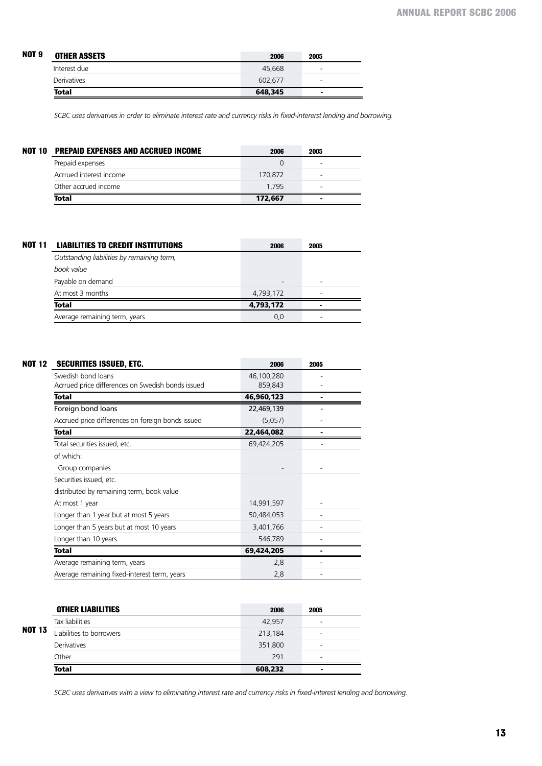| NOT 9 | <b>OTHER ASSETS</b> | 2006    | 2005           |
|-------|---------------------|---------|----------------|
|       | Interest due        | 45,668  | -              |
|       | <b>Derivatives</b>  | 602.677 | ۰              |
|       | Total               | 648,345 | $\blacksquare$ |

*SCBC uses derivatives in order to eliminate interest rate and currency risks in fixed-intererst lending and borrowing.* 

| NOT 10 | <b>PREPAID EXPENSES AND ACCRUED INCOME</b> | 2006    | 2005 |  |
|--------|--------------------------------------------|---------|------|--|
|        | Prepaid expenses                           |         |      |  |
|        | Acrrued interest income                    | 170.872 |      |  |
|        | Other accrued income                       | 1.795   |      |  |
|        | <b>Total</b>                               | 172,667 |      |  |
|        |                                            |         |      |  |

| <b>NOT 11</b> | <b>LIABILITIES TO CREDIT INSTITUTIONS</b>  | 2006      | 2005 |  |
|---------------|--------------------------------------------|-----------|------|--|
|               | Outstanding liabilities by remaining term, |           |      |  |
|               | book value                                 |           |      |  |
|               | Payable on demand                          |           | -    |  |
|               | At most 3 months                           | 4,793,172 |      |  |
|               | Total                                      | 4,793,172 | -    |  |
|               | Average remaining term, years              | 0,0       |      |  |

| SECURITIES ISSUED, ETC.                           | 2006       | 2005 |  |
|---------------------------------------------------|------------|------|--|
| Swedish bond loans                                | 46,100,280 |      |  |
| Acrrued price differences on Swedish bonds issued | 859,843    |      |  |
| <b>Total</b>                                      | 46,960,123 |      |  |
| Foreign bond loans                                | 22,469,139 |      |  |
| Accrued price differences on foreign bonds issued | (5,057)    |      |  |
| <b>Total</b>                                      | 22,464,082 |      |  |
| Total securities issued, etc.                     | 69,424,205 |      |  |
| of which:                                         |            |      |  |
| Group companies                                   |            |      |  |
| Securities issued, etc.                           |            |      |  |
| distributed by remaining term, book value         |            |      |  |
| At most 1 year                                    | 14,991,597 |      |  |
| Longer than 1 year but at most 5 years            | 50,484,053 |      |  |
| Longer than 5 years but at most 10 years          | 3,401,766  |      |  |
| Longer than 10 years                              | 546,789    |      |  |
| Total                                             | 69,424,205 |      |  |
| Average remaining term, years                     | 2,8        |      |  |
| Average remaining fixed-interest term, years      | 2,8        |      |  |

|        | <b>OTHER LIABILITIES</b> | 2006    | 2005 |
|--------|--------------------------|---------|------|
| NOT 13 | Tax liabilities          | 42,957  | -    |
|        | Liabilities to borrowers | 213,184 | -    |
|        | <b>Derivatives</b>       | 351,800 | -    |
|        | Other                    | 291     | -    |
|        | <b>Total</b>             | 608,232 |      |

*SCBC uses derivatives with a view to eliminating interest rate and currency risks in fixed-interest lending and borrowing.*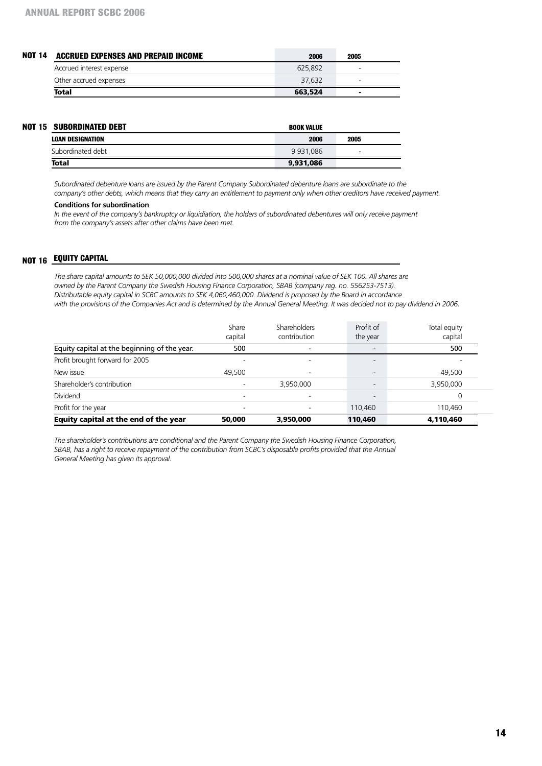| <b>NOT 14</b> | <b>ACCRUED EXPENSES AND PREPAID INCOME</b> | 2006    | 2005                     |  |
|---------------|--------------------------------------------|---------|--------------------------|--|
|               | Accrued interest expense                   | 625.892 | -                        |  |
|               | Other accrued expenses                     | 37.632  | $\overline{\phantom{0}}$ |  |
|               | <b>Total</b>                               | 663,524 | $\overline{\phantom{0}}$ |  |

| <b>NOT 15 SUBORDINATED DEBT</b> | <b>BOOK VALUE</b> |      |  |
|---------------------------------|-------------------|------|--|
| <b>LOAN DESIGNATION</b>         | 2006              | 2005 |  |
| Subordinated debt               | 9 9 3 1 . 0 8 6   |      |  |
| <b>Total</b>                    | 9,931,086         |      |  |

*Subordinated debenture loans are issued by the Parent Company Subordinated debenture loans are subordinate to the company's other debts, which means that they carry an entitlement to payment only when other creditors have received payment.*

#### **Conditions for subordination**

In the event of the company's bankruptcy or liquidiation, the holders of subordinated debentures will only receive payment *from the company's assets after other claims have been met.*

# **NOT 16 EQUITY C**

*The share capital amounts to SEK 50,000,000 divided into 500,000 shares at a nominal value of SEK 100. All shares are owned by the Parent Company the Swedish Housing Finance Corporation, SBAB (company reg. no. 556253-7513). Distributable equity capital in SCBC amounts to SEK 4,060,460,000. Dividend is proposed by the Board in accordance with the provisions of the Companies Act and is determined by the Annual General Meeting. It was decided not to pay dividend in 2006.*

|                                              | Share<br>capital | Shareholders<br>contribution | Profit of<br>the year    | Total equity<br>capital |
|----------------------------------------------|------------------|------------------------------|--------------------------|-------------------------|
| Equity capital at the beginning of the year. | 500              |                              |                          | 500                     |
| Profit brought forward for 2005              |                  |                              |                          |                         |
| New issue                                    | 49,500           | ٠                            | $\overline{\phantom{0}}$ | 49,500                  |
| Shareholder's contribution                   |                  | 3,950,000                    |                          | 3,950,000               |
| Dividend                                     |                  |                              | $\overline{\phantom{0}}$ |                         |
| Profit for the year                          |                  |                              | 110,460                  | 110,460                 |
| Equity capital at the end of the year        | 50,000           | 3,950,000                    | 110,460                  | 4,110,460               |

*The shareholder's contributions are conditional and the Parent Company the Swedish Housing Finance Corporation,*  SBAB, has a right to receive repayment of the contribution from SCBC's disposable profits provided that the Annual *General Meeting has given its approval.*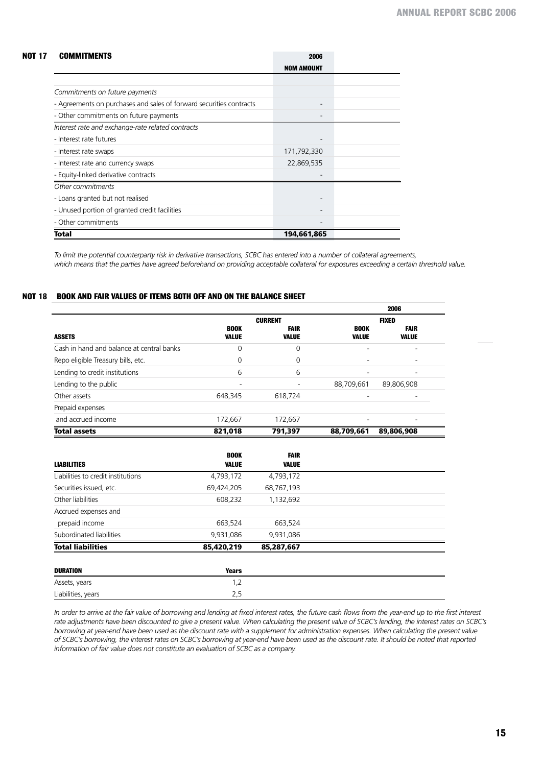#### **Commitments 2006 Not 17**

|                                                                     | NOM AMOUNT  |  |
|---------------------------------------------------------------------|-------------|--|
|                                                                     |             |  |
| Commitments on future payments                                      |             |  |
| - Agreements on purchases and sales of forward securities contracts |             |  |
| - Other commitments on future payments                              |             |  |
| Interest rate and exchange-rate related contracts                   |             |  |
| - Interest rate futures                                             |             |  |
| - Interest rate swaps                                               | 171,792,330 |  |
| - Interest rate and currency swaps                                  | 22,869,535  |  |
| - Equity-linked derivative contracts                                |             |  |
| Other commitments                                                   |             |  |
| - Loans granted but not realised                                    |             |  |
| - Unused portion of granted credit facilities                       |             |  |
| - Other commitments                                                 |             |  |
| Total                                                               | 194,661,865 |  |

*To limit the potential counterparty risk in derivative transactions, SCBC has entered into a number of collateral agreements, which means that the parties have agreed beforehand on providing acceptable collateral for exposures exceeding a certain threshold value.*

#### **Book and fair values of items both off and on the balance sheet Not 18**

|                                           |                      |                             |                          | 2006                        |
|-------------------------------------------|----------------------|-----------------------------|--------------------------|-----------------------------|
|                                           |                      | <b>CURRENT</b>              |                          | <b>FIXED</b>                |
| <b>ASSETS</b>                             | <b>BOOK</b><br>VALUE | <b>FAIR</b><br><b>VALUE</b> | <b>BOOK</b><br>VALUE     | <b>FAIR</b><br><b>VALUE</b> |
| Cash in hand and balance at central banks | $\Omega$             | $\Omega$                    | $\overline{\phantom{a}}$ | ۰                           |
| Repo eligible Treasury bills, etc.        | 0                    | 0                           |                          |                             |
| Lending to credit institutions            | 6                    | 6                           |                          | ۰                           |
| Lending to the public                     |                      |                             | 88,709,661               | 89,806,908                  |
| Other assets                              | 648,345              | 618,724                     | $\overline{\phantom{a}}$ | ۰                           |
| Prepaid expenses                          |                      |                             |                          |                             |
| and accrued income                        | 172,667              | 172,667                     |                          |                             |
| <b>Total assets</b>                       | 821,018              | 791,397                     | 88,709,661               | 89,806,908                  |
|                                           |                      |                             |                          |                             |
|                                           | <b>BOOK</b>          | <b>FAIR</b>                 |                          |                             |
| <b>LIABILITIES</b>                        | VALUE                | <b>VALUE</b>                |                          |                             |

| <b>LIABILITIES</b>                 | <b>VALUE</b> | <b>VALUE</b> |  |
|------------------------------------|--------------|--------------|--|
| Liabilities to credit institutions | 4,793,172    | 4,793,172    |  |
| Securities issued, etc.            | 69,424,205   | 68,767,193   |  |
| Other liabilities                  | 608,232      | 1,132,692    |  |
| Accrued expenses and               |              |              |  |
| prepaid income                     | 663,524      | 663,524      |  |
| Subordinated liabilities           | 9,931,086    | 9,931,086    |  |
| <b>Total liabilities</b>           | 85,420,219   | 85,287,667   |  |

| DURATION           | <b>Years</b> |
|--------------------|--------------|
| Assets, years      | ے ،          |
| Liabilities, years | ب رے         |

In order to arrive at the fair value of borrowing and lending at fixed interest rates, the future cash flows from the year-end up to the first interest *rate adjustments have been discounted to give a present value. When calculating the present value of SCBC's lending, the interest rates on SCBC's*  borrowing at year-end have been used as the discount rate with a supplement for administration expenses. When calculating the present value *of SCBC's borrowing, the interest rates on SCBC's borrowing at year-end have been used as the discount rate. It should be noted that reported information of fair value does not constitute an evaluation of SCBC as a company.*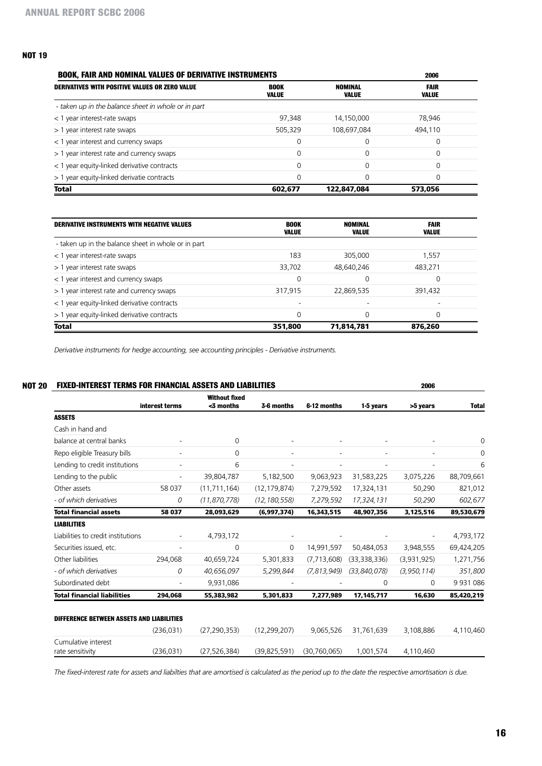# **Not 19**

| <b>BOOK, FAIR AND NOMINAL VALUES OF DERIVATIVE INSTRUMENTS</b> | 2006                 |                  |               |
|----------------------------------------------------------------|----------------------|------------------|---------------|
| <b>DERIVATIVES WITH POSITIVE VALUES OR ZERO VALUE</b>          | <b>BOOK</b><br>VALUE | NOMINAL<br>VALUE | FAIR<br>VALUE |
| - taken up in the balance sheet in whole or in part            |                      |                  |               |
| < 1 year interest-rate swaps                                   | 97.348               | 14,150,000       | 78.946        |
| > 1 year interest rate swaps                                   | 505.329              | 108,697,084      | 494,110       |
| < 1 year interest and currency swaps                           |                      | $\Omega$         | $\Omega$      |
| > 1 year interest rate and currency swaps                      | 0                    | $\Omega$         | $\Omega$      |
| < 1 year equity-linked derivative contracts                    | O                    | ∩                | $\Omega$      |
| > 1 year equity-linked derivatie contracts                     | 0                    | $\Omega$         | $\Omega$      |
| <b>Total</b>                                                   | 602,677              | 122,847,084      | 573,056       |

| <b>DERIVATIVE INSTRUMENTS WITH NEGATIVE VALUES</b>  | <b>BOOK</b><br><b>VALUE</b> | NOMINAL<br><b>VALUE</b> | <b>FAIR</b><br>VALUE |  |
|-----------------------------------------------------|-----------------------------|-------------------------|----------------------|--|
| - taken up in the balance sheet in whole or in part |                             |                         |                      |  |
| < 1 year interest-rate swaps                        | 183                         | 305,000                 | 1,557                |  |
| > 1 year interest rate swaps                        | 33,702                      | 48,640,246              | 483,271              |  |
| < 1 year interest and currency swaps                | 0                           | 0                       | $\Omega$             |  |
| > 1 year interest rate and currency swaps           | 317,915                     | 22,869,535              | 391.432              |  |
| < 1 year equity-linked derivative contracts         | ۰                           | -                       |                      |  |
| > 1 year equity-linked derivative contracts         | 0                           |                         | $\Omega$             |  |
| <b>Total</b>                                        | 351,800                     | 71,814,781              | 876,260              |  |

*Derivative instruments for hedge accounting, see accounting principles - Derivative instruments.*

|                                    |                | <b>FIXED-INTEREST TERMS FOR FINANCIAL ASSETS AND LIABILITIES</b> |                |               |                | 2006        |               |
|------------------------------------|----------------|------------------------------------------------------------------|----------------|---------------|----------------|-------------|---------------|
|                                    | interest terms | <b>Without fixed</b><br><3 months                                | 3-6 months     | 6-12 months   | 1-5 years      | >5 years    | <b>Total</b>  |
| <b>ASSETS</b>                      |                |                                                                  |                |               |                |             |               |
| Cash in hand and                   |                |                                                                  |                |               |                |             |               |
| balance at central banks           |                | $\mathbf 0$                                                      |                |               |                |             | 0             |
| Repo eligible Treasury bills       |                | 0                                                                |                |               |                |             | 0             |
| Lending to credit institutions     |                | 6                                                                |                |               |                |             | 6             |
| Lending to the public              |                | 39,804,787                                                       | 5,182,500      | 9,063,923     | 31,583,225     | 3,075,226   | 88,709,661    |
| Other assets                       | 58 037         | (11, 711, 164)                                                   | (12, 179, 874) | 7,279,592     | 17,324,131     | 50,290      | 821,012       |
| - of which derivatives             | 0              | (11, 870, 778)                                                   | (12, 180, 558) | 7,279,592     | 17,324,131     | 50,290      | 602,677       |
| <b>Total financial assets</b>      | 58 037         | 28,093,629                                                       | (6,997,374)    | 16,343,515    | 48,907,356     | 3,125,516   | 89,530,679    |
| <b>LIABILITIES</b>                 |                |                                                                  |                |               |                |             |               |
| Liabilities to credit institutions |                | 4,793,172                                                        |                |               |                |             | 4,793,172     |
| Securities issued, etc.            |                | 0                                                                | 0              | 14,991,597    | 50,484,053     | 3,948,555   | 69,424,205    |
| Other liabilities                  | 294,068        | 40,659,724                                                       | 5,301,833      | (7, 713, 608) | (33,338,336)   | (3,931,925) | 1,271,756     |
| - of which derivatives             | 0              | 40,656,097                                                       | 5,299,844      | (7, 813, 949) | (33, 840, 078) | (3,950,114) | 351,800       |
| Subordinated debt                  |                | 9,931,086                                                        |                |               | 0              | 0           | 9 9 3 1 0 8 6 |
| <b>Total financial liabilities</b> | 294,068        | 55,383,982                                                       | 5,301,833      | 7,277,989     | 17, 145, 717   | 16,630      | 85,420,219    |

*The fixed-interest rate for assets and liabilties that are amortised is calculated as the period up to the date the respective amortisation is due.*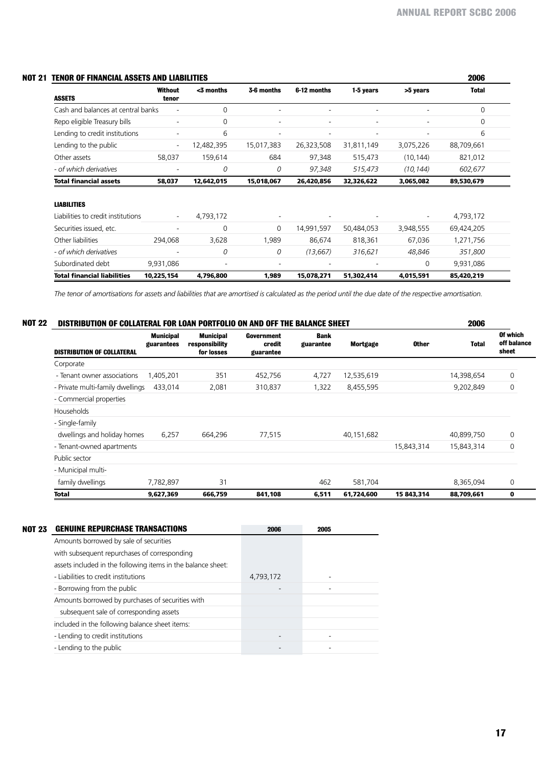|  | NOT 21 TENOR OF FINANCIAL ASSETS AND LIABILITIES |  |  |
|--|--------------------------------------------------|--|--|
|  |                                                  |  |  |

| TENOR OF FINANCIAL ASSETS AND LIABILITIES |                          |              |            |             |            |           | 2006         |
|-------------------------------------------|--------------------------|--------------|------------|-------------|------------|-----------|--------------|
| <b>ASSETS</b>                             | Without<br>tenor         | $<$ 3 months | 3-6 months | 6-12 months | 1-5 years  | >5 years  | <b>Total</b> |
| Cash and balances at central banks        | ٠                        | 0            | ۰          | ٠           |            |           | $\Omega$     |
| Repo eligible Treasury bills              | $\overline{\phantom{a}}$ | 0            | -          | ٠           |            |           | 0            |
| Lending to credit institutions            |                          | 6            |            |             |            |           | 6            |
| Lending to the public                     | $\overline{\phantom{a}}$ | 12,482,395   | 15,017,383 | 26,323,508  | 31,811,149 | 3,075,226 | 88,709,661   |
| Other assets                              | 58,037                   | 159,614      | 684        | 97,348      | 515,473    | (10, 144) | 821,012      |
| - of which derivatives                    |                          | 0            | 0          | 97,348      | 515,473    | (10, 144) | 602,677      |
| <b>Total financial assets</b>             | 58,037                   | 12,642,015   | 15,018,067 | 26,420,856  | 32,326,622 | 3,065,082 | 89,530,679   |
| <b>LIABILITIES</b>                        |                          |              |            |             |            |           |              |
| Liabilities to credit institutions        | $\overline{\phantom{a}}$ | 4,793,172    |            |             |            |           | 4,793,172    |
| Securities issued, etc.                   |                          | 0            | $\Omega$   | 14,991,597  | 50,484,053 | 3,948,555 | 69,424,205   |
| Other liabilities                         | 294,068                  | 3,628        | 1,989      | 86,674      | 818,361    | 67,036    | 1,271,756    |
| - of which derivatives                    |                          | 0            | 0          | (13, 667)   | 316,621    | 48,846    | 351,800      |
| Subordinated debt                         | 9,931,086                |              |            |             |            | 0         | 9,931,086    |
| <b>Total financial liabilities</b>        | 10,225,154               | 4,796,800    | 1,989      | 15,078,271  | 51,302,414 | 4,015,591 | 85,420,219   |

*The tenor of amortisations for assets and liabilities that are amortised is calculated as the period until the due date of the respective amortisation.*

|  | NOT 22 DISTRIBUTION OF COLLATERAL FOR LOAN PORTFOLIO ON AND OFF THE BALANCE SHEET | 2006 |
|--|-----------------------------------------------------------------------------------|------|
|--|-----------------------------------------------------------------------------------|------|

| <b>DISTRIBUTION OF COLLATERAL</b> | <b>Municipal</b><br>guarantees | <b>Municipal</b><br>responsibility<br>for losses | Government<br>credit<br>guarantee | <b>Bank</b><br>guarantee | <b>Mortgage</b> | <b>Other</b> | Total      | Of which<br>off balance<br>sheet |
|-----------------------------------|--------------------------------|--------------------------------------------------|-----------------------------------|--------------------------|-----------------|--------------|------------|----------------------------------|
| Corporate                         |                                |                                                  |                                   |                          |                 |              |            |                                  |
| - Tenant owner associations       | 1,405,201                      | 351                                              | 452,756                           | 4,727                    | 12,535,619      |              | 14,398,654 | $\mathbf 0$                      |
| - Private multi-family dwellings  | 433,014                        | 2,081                                            | 310,837                           | 1,322                    | 8,455,595       |              | 9,202,849  | 0                                |
| - Commercial properties           |                                |                                                  |                                   |                          |                 |              |            |                                  |
| Households                        |                                |                                                  |                                   |                          |                 |              |            |                                  |
| - Single-family                   |                                |                                                  |                                   |                          |                 |              |            |                                  |
| dwellings and holiday homes       | 6,257                          | 664,296                                          | 77,515                            |                          | 40,151,682      |              | 40,899,750 | $\mathbf 0$                      |
| - Tenant-owned apartments         |                                |                                                  |                                   |                          |                 | 15,843,314   | 15,843,314 | 0                                |
| Public sector                     |                                |                                                  |                                   |                          |                 |              |            |                                  |
| - Municipal multi-                |                                |                                                  |                                   |                          |                 |              |            |                                  |
| family dwellings                  | 7,782,897                      | 31                                               |                                   | 462                      | 581,704         |              | 8,365,094  | $\mathbf 0$                      |
| Total                             | 9,627,369                      | 666,759                                          | 841,108                           | 6,511                    | 61,724,600      | 15 843,314   | 88,709,661 | 0                                |

|                                                              | 2006                                   | 2005 |
|--------------------------------------------------------------|----------------------------------------|------|
| Amounts borrowed by sale of securities                       |                                        |      |
| with subsequent repurchases of corresponding                 |                                        |      |
| assets included in the following items in the balance sheet: |                                        |      |
| - Liabilities to credit institutions                         | 4,793,172                              |      |
| - Borrowing from the public                                  |                                        |      |
| Amounts borrowed by purchases of securities with             |                                        |      |
| subsequent sale of corresponding assets                      |                                        |      |
| included in the following balance sheet items:               |                                        |      |
| - Lending to credit institutions                             |                                        |      |
| - Lending to the public                                      |                                        |      |
|                                                              | <b>GENUINE REPURCHASE TRANSACTIONS</b> |      |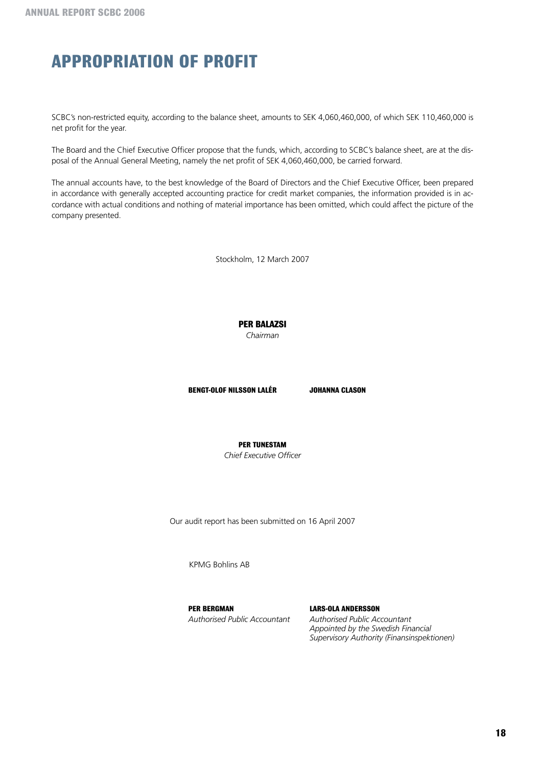# **Appropriation of Profit**

SCBC's non-restricted equity, according to the balance sheet, amounts to SEK 4,060,460,000, of which SEK 110,460,000 is net profit for the year.

The Board and the Chief Executive Officer propose that the funds, which, according to SCBC's balance sheet, are at the disposal of the Annual General Meeting, namely the net profit of SEK 4,060,460,000, be carried forward.

The annual accounts have, to the best knowledge of the Board of Directors and the Chief Executive Officer, been prepared in accordance with generally accepted accounting practice for credit market companies, the information provided is in accordance with actual conditions and nothing of material importance has been omitted, which could affect the picture of the company presented.

Stockholm, 12 March 2007

**Per Balazsi**

*Chairman*

**BENGT-OLOF NILSSON LALÉR JOHANNA CLASON**

**PER TUNESTAM**

*Chief Executive Officer*

Our audit report has been submitted on 16 April 2007

KPMG Bohlins AB

**PER BERGMAN LARS-OLA ANDERSSON**

*Authorised Public Accountant Authorised Public Accountant Appointed by the Swedish Financial Supervisory Authority (Finansinspektionen)*